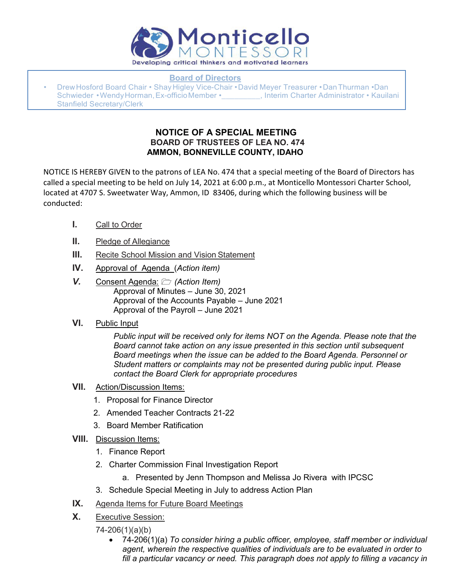

**Board of Directors**

• Drew Hosford Board Chair • Shay Higley Vice-Chair • David Meyer Treasurer • Dan Thurman • Dan Schwieder • Wendy Horman, Ex-officio Member • The Research Administrator • Kauilani Stanfield Secretary/Clerk

## **NOTICE OF A SPECIAL MEETING BOARD OF TRUSTEES OF LEA NO. 474 AMMON, BONNEVILLE COUNTY, IDAHO**

NOTICE IS HEREBY GIVEN to the patrons of LEA No. 474 that a special meeting of the Board of Directors has called a special meeting to be held on July 14, 2021 at 6:00 p.m., at Monticello Montessori Charter School, located at 4707 S. Sweetwater Way, Ammon, ID 83406, during which the following business will be conducted:

- **I.** Call to Order
- **II.** Pledge of Allegiance
- **III.** Recite School Mission and Vision Statement
- **IV.** Approval of Agenda (*Action item)*
- *V.* Consent Agenda: *(Action Item)* Approval of Minutes – June 30, 2021 Approval of the Accounts Payable – June 2021 Approval of the Payroll – June 2021
- **VI.** Public Input

*Public input will be received only for items NOT on the Agenda. Please note that the Board cannot take action on any issue presented in this section until subsequent Board meetings when the issue can be added to the Board Agenda. Personnel or Student matters or complaints may not be presented during public input. Please contact the Board Clerk for appropriate procedures*

- **VII.** Action/Discussion Items:
	- 1. Proposal for Finance Director
	- 2. Amended Teacher Contracts 21-22
	- 3. Board Member Ratification
- **VIII.** Discussion Items:
	- 1. Finance Report
	- 2. Charter Commission Final Investigation Report
		- a. Presented by Jenn Thompson and Melissa Jo Rivera with IPCSC
	- 3. Schedule Special Meeting in July to address Action Plan
- **IX.** Agenda Items for Future Board Meetings
- **X.** Executive Session:
	- 74-206(1)(a)(b)
		- 74-206(1)(a) *To consider hiring a public officer, employee, staff member or individual agent, wherein the respective qualities of individuals are to be evaluated in order to*  fill a particular vacancy or need. This paragraph does not apply to filling a vacancy in